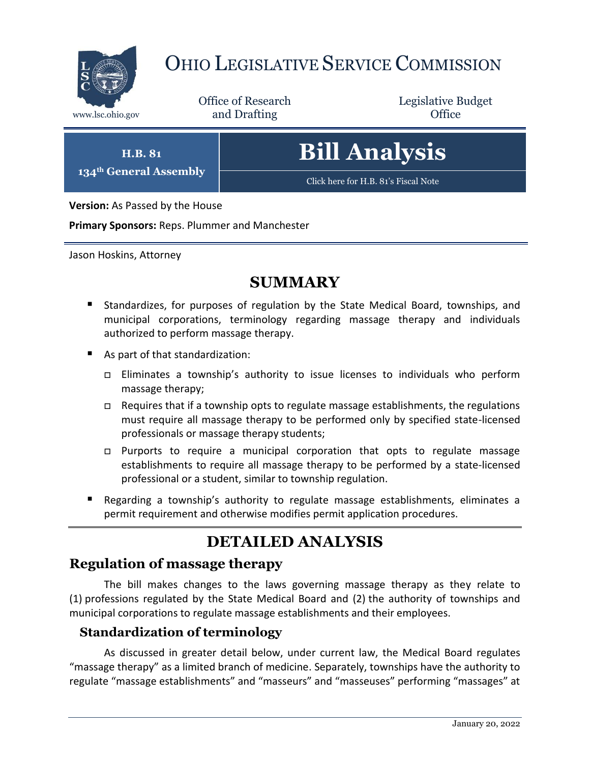

## OHIO LEGISLATIVE SERVICE COMMISSION

Office of Research www.lsc.ohio.gov **and Drafting Office** 

Legislative Budget

**H.B. 81 134th General Assembly**

# **Bill Analysis**

[Click here for H.B. 81's Fiscal Note](https://www.legislature.ohio.gov/legislation/legislation-documents?id=GA134-HB-81)

**Version:** As Passed by the House

**Primary Sponsors:** Reps. Plummer and Manchester

Jason Hoskins, Attorney

### **SUMMARY**

- Standardizes, for purposes of regulation by the State Medical Board, townships, and municipal corporations, terminology regarding massage therapy and individuals authorized to perform massage therapy.
- As part of that standardization:
	- Eliminates a township's authority to issue licenses to individuals who perform massage therapy;
	- $\Box$  Requires that if a township opts to regulate massage establishments, the regulations must require all massage therapy to be performed only by specified state-licensed professionals or massage therapy students;
	- $\Box$  Purports to require a municipal corporation that opts to regulate massage establishments to require all massage therapy to be performed by a state-licensed professional or a student, similar to township regulation.
- Regarding a township's authority to regulate massage establishments, eliminates a permit requirement and otherwise modifies permit application procedures.

## **DETAILED ANALYSIS**

#### **Regulation of massage therapy**

The bill makes changes to the laws governing massage therapy as they relate to (1) professions regulated by the State Medical Board and (2) the authority of townships and municipal corporations to regulate massage establishments and their employees.

#### **Standardization of terminology**

As discussed in greater detail below, under current law, the Medical Board regulates "massage therapy" as a limited branch of medicine. Separately, townships have the authority to regulate "massage establishments" and "masseurs" and "masseuses" performing "massages" at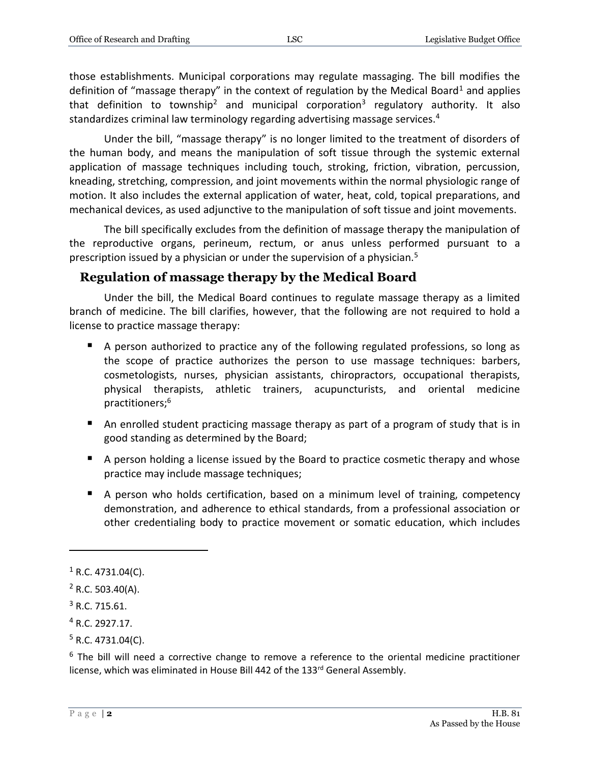those establishments. Municipal corporations may regulate massaging. The bill modifies the definition of "massage therapy" in the context of regulation by the Medical Board<sup>1</sup> and applies that definition to township<sup>2</sup> and municipal corporation<sup>3</sup> regulatory authority. It also standardizes criminal law terminology regarding advertising massage services.<sup>4</sup>

Under the bill, "massage therapy" is no longer limited to the treatment of disorders of the human body, and means the manipulation of soft tissue through the systemic external application of massage techniques including touch, stroking, friction, vibration, percussion, kneading, stretching, compression, and joint movements within the normal physiologic range of motion. It also includes the external application of water, heat, cold, topical preparations, and mechanical devices, as used adjunctive to the manipulation of soft tissue and joint movements.

The bill specifically excludes from the definition of massage therapy the manipulation of the reproductive organs, perineum, rectum, or anus unless performed pursuant to a prescription issued by a physician or under the supervision of a physician.<sup>5</sup>

#### **Regulation of massage therapy by the Medical Board**

Under the bill, the Medical Board continues to regulate massage therapy as a limited branch of medicine. The bill clarifies, however, that the following are not required to hold a license to practice massage therapy:

- A person authorized to practice any of the following regulated professions, so long as the scope of practice authorizes the person to use massage techniques: barbers, cosmetologists, nurses, physician assistants, chiropractors, occupational therapists, physical therapists, athletic trainers, acupuncturists, and oriental medicine practitioners;<sup>6</sup>
- An enrolled student practicing massage therapy as part of a program of study that is in good standing as determined by the Board;
- A person holding a license issued by the Board to practice cosmetic therapy and whose practice may include massage techniques;
- A person who holds certification, based on a minimum level of training, competency demonstration, and adherence to ethical standards, from a professional association or other credentialing body to practice movement or somatic education, which includes

 $\overline{a}$ 

 $6$  The bill will need a corrective change to remove a reference to the oriental medicine practitioner license, which was eliminated in House Bill 442 of the 133rd General Assembly.

 $1$  R.C. 4731.04(C).

 $2$  R.C. 503.40(A).

<sup>3</sup> R.C. 715.61.

<sup>4</sup> R.C. 2927.17.

 $5$  R.C. 4731.04(C).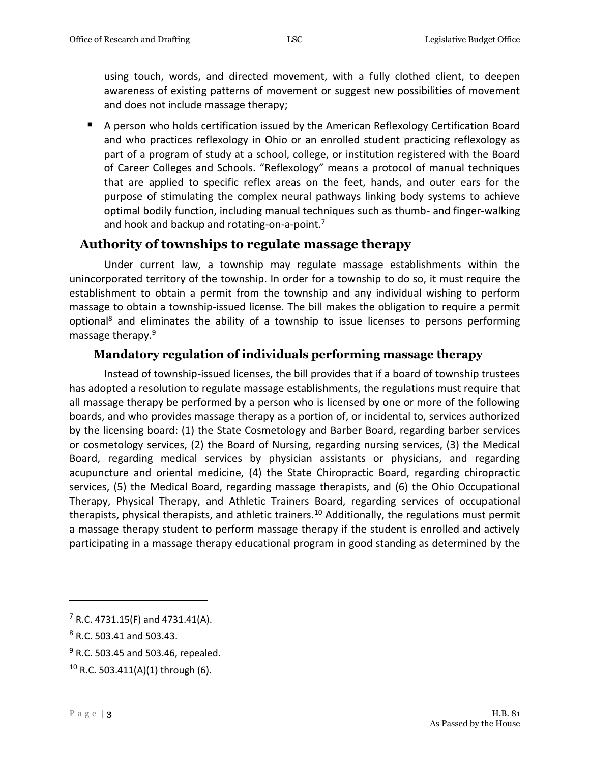using touch, words, and directed movement, with a fully clothed client, to deepen awareness of existing patterns of movement or suggest new possibilities of movement and does not include massage therapy;

A person who holds certification issued by the American Reflexology Certification Board and who practices reflexology in Ohio or an enrolled student practicing reflexology as part of a program of study at a school, college, or institution registered with the Board of Career Colleges and Schools. "Reflexology" means a protocol of manual techniques that are applied to specific reflex areas on the feet, hands, and outer ears for the purpose of stimulating the complex neural pathways linking body systems to achieve optimal bodily function, including manual techniques such as thumb- and finger-walking and hook and backup and rotating-on-a-point.<sup>7</sup>

#### **Authority of townships to regulate massage therapy**

Under current law, a township may regulate massage establishments within the unincorporated territory of the township. In order for a township to do so, it must require the establishment to obtain a permit from the township and any individual wishing to perform massage to obtain a township-issued license. The bill makes the obligation to require a permit optional<sup>8</sup> and eliminates the ability of a township to issue licenses to persons performing massage therapy.<sup>9</sup>

#### **Mandatory regulation of individuals performing massage therapy**

Instead of township-issued licenses, the bill provides that if a board of township trustees has adopted a resolution to regulate massage establishments, the regulations must require that all massage therapy be performed by a person who is licensed by one or more of the following boards, and who provides massage therapy as a portion of, or incidental to, services authorized by the licensing board: (1) the State Cosmetology and Barber Board, regarding barber services or cosmetology services, (2) the Board of Nursing, regarding nursing services, (3) the Medical Board, regarding medical services by physician assistants or physicians, and regarding acupuncture and oriental medicine, (4) the State Chiropractic Board, regarding chiropractic services, (5) the Medical Board, regarding massage therapists, and (6) the Ohio Occupational Therapy, Physical Therapy, and Athletic Trainers Board, regarding services of occupational therapists, physical therapists, and athletic trainers.<sup>10</sup> Additionally, the regulations must permit a massage therapy student to perform massage therapy if the student is enrolled and actively participating in a massage therapy educational program in good standing as determined by the

 $\overline{a}$ 

 $7$  R.C. 4731.15(F) and 4731.41(A).

<sup>8</sup> R.C. 503.41 and 503.43.

 $9$  R.C. 503.45 and 503.46, repealed.

 $10$  R.C. 503.411(A)(1) through (6).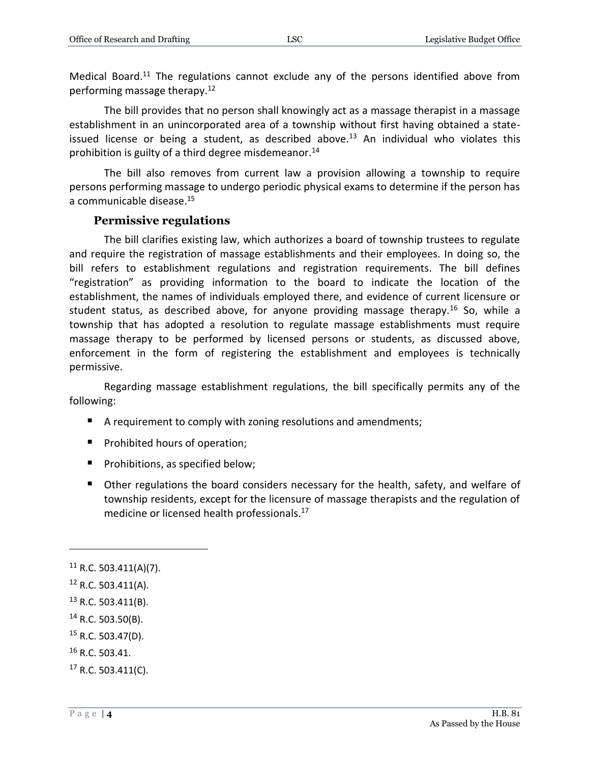Medical Board.<sup>11</sup> The regulations cannot exclude any of the persons identified above from performing massage therapy.<sup>12</sup>

The bill provides that no person shall knowingly act as a massage therapist in a massage establishment in an unincorporated area of a township without first having obtained a stateissued license or being a student, as described above.<sup>13</sup> An individual who violates this prohibition is guilty of a third degree misdemeanor.<sup>14</sup>

The bill also removes from current law a provision allowing a township to require persons performing massage to undergo periodic physical exams to determine if the person has a communicable disease.<sup>15</sup>

#### **Permissive regulations**

The bill clarifies existing law, which authorizes a board of township trustees to regulate and require the registration of massage establishments and their employees. In doing so, the bill refers to establishment regulations and registration requirements. The bill defines "registration" as providing information to the board to indicate the location of the establishment, the names of individuals employed there, and evidence of current licensure or student status, as described above, for anyone providing massage therapy.<sup>16</sup> So, while a township that has adopted a resolution to regulate massage establishments must require massage therapy to be performed by licensed persons or students, as discussed above, enforcement in the form of registering the establishment and employees is technically permissive.

Regarding massage establishment regulations, the bill specifically permits any of the following:

- A requirement to comply with zoning resolutions and amendments;
- **Prohibited hours of operation;**
- **Prohibitions, as specified below;**
- Other regulations the board considers necessary for the health, safety, and welfare of township residents, except for the licensure of massage therapists and the regulation of medicine or licensed health professionals.<sup>17</sup>

 $\overline{a}$ 

<sup>16</sup> R.C. 503.41.

 $11$  R.C. 503.411(A)(7).

<sup>12</sup> R.C. 503.411(A).

<sup>13</sup> R.C. 503.411(B).

 $14$  R.C. 503.50(B).

 $15$  R.C. 503.47(D).

 $17$  R.C. 503.411(C).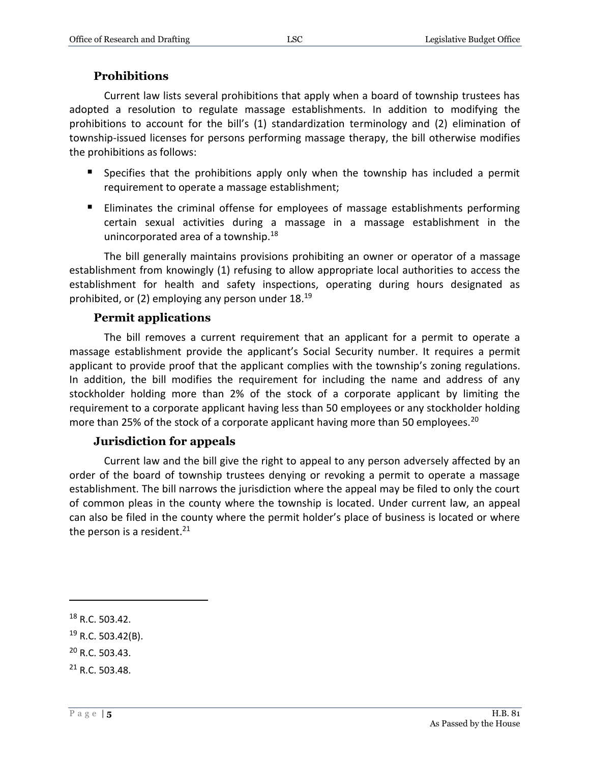#### **Prohibitions**

Current law lists several prohibitions that apply when a board of township trustees has adopted a resolution to regulate massage establishments. In addition to modifying the prohibitions to account for the bill's (1) standardization terminology and (2) elimination of township-issued licenses for persons performing massage therapy, the bill otherwise modifies the prohibitions as follows:

- **Specifies that the prohibitions apply only when the township has included a permit** requirement to operate a massage establishment;
- Eliminates the criminal offense for employees of massage establishments performing certain sexual activities during a massage in a massage establishment in the unincorporated area of a township.<sup>18</sup>

The bill generally maintains provisions prohibiting an owner or operator of a massage establishment from knowingly (1) refusing to allow appropriate local authorities to access the establishment for health and safety inspections, operating during hours designated as prohibited, or (2) employing any person under 18.<sup>19</sup>

#### **Permit applications**

The bill removes a current requirement that an applicant for a permit to operate a massage establishment provide the applicant's Social Security number. It requires a permit applicant to provide proof that the applicant complies with the township's zoning regulations. In addition, the bill modifies the requirement for including the name and address of any stockholder holding more than 2% of the stock of a corporate applicant by limiting the requirement to a corporate applicant having less than 50 employees or any stockholder holding more than 25% of the stock of a corporate applicant having more than 50 employees.<sup>20</sup>

#### **Jurisdiction for appeals**

Current law and the bill give the right to appeal to any person adversely affected by an order of the board of township trustees denying or revoking a permit to operate a massage establishment. The bill narrows the jurisdiction where the appeal may be filed to only the court of common pleas in the county where the township is located. Under current law, an appeal can also be filed in the county where the permit holder's place of business is located or where the person is a resident. $21$ 

 $\overline{a}$ 

<sup>20</sup> R.C. 503.43.

<sup>18</sup> R.C. 503.42.

 $19$  R.C. 503.42(B).

<sup>21</sup> R.C. 503.48.